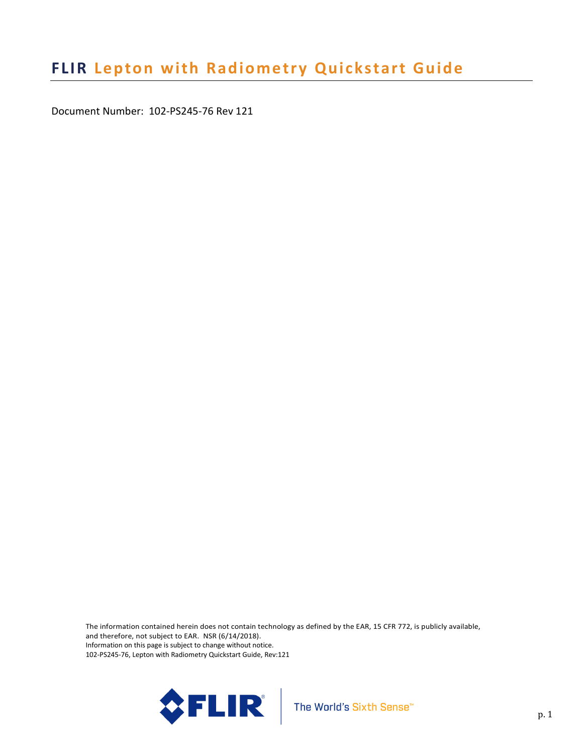Document Number: 102-PS245-76 Rev 121

The information contained herein does not contain technology as defined by the EAR, 15 CFR 772, is publicly available, and therefore, not subject to EAR. NSR (6/14/2018). Information on this page is subject to change without notice. 102-PS245-76, Lepton with Radiometry Quickstart Guide, Rev:121

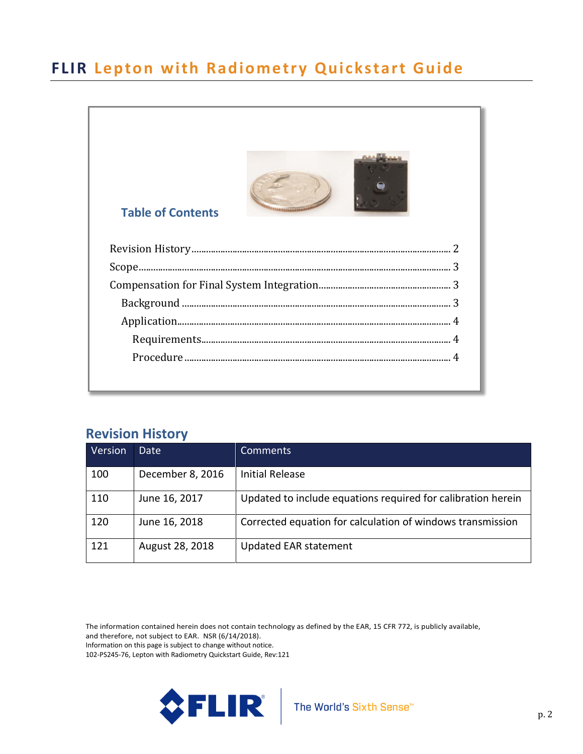

### <span id="page-1-0"></span>**Revision History**

| Version | Date             | Comments                                                     |
|---------|------------------|--------------------------------------------------------------|
| 100     | December 8, 2016 | <b>Initial Release</b>                                       |
| 110     | June 16, 2017    | Updated to include equations required for calibration herein |
| 120     | June 16, 2018    | Corrected equation for calculation of windows transmission   |
| 121     | August 28, 2018  | <b>Updated EAR statement</b>                                 |

The information contained herein does not contain technology as defined by the EAR, 15 CFR 772, is publicly available, and therefore, not subject to EAR. NSR (6/14/2018).

Information on this page is subject to change without notice.

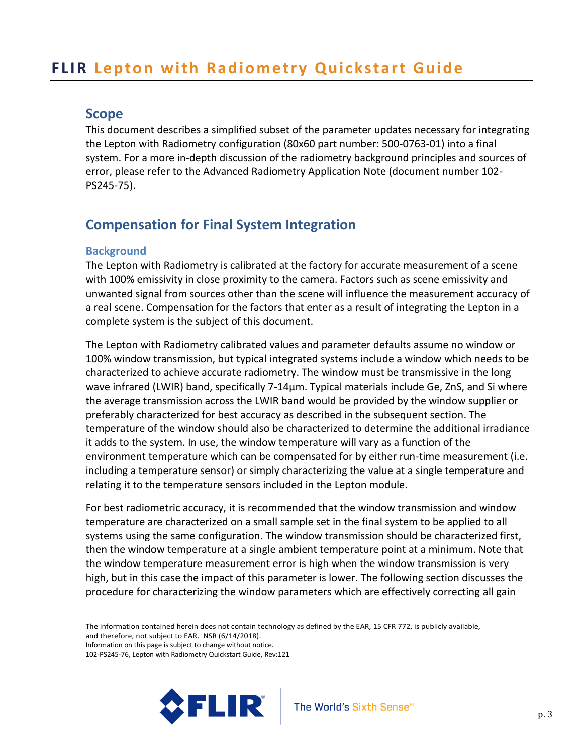### <span id="page-2-0"></span>**Scope**

This document describes a simplified subset of the parameter updates necessary for integrating the Lepton with Radiometry configuration (80x60 part number: 500-0763-01) into a final system. For a more in-depth discussion of the radiometry background principles and sources of error, please refer to the Advanced Radiometry Application Note (document number 102- PS245-75).

### <span id="page-2-1"></span>**Compensation for Final System Integration**

#### <span id="page-2-2"></span>**Background**

The Lepton with Radiometry is calibrated at the factory for accurate measurement of a scene with 100% emissivity in close proximity to the camera. Factors such as scene emissivity and unwanted signal from sources other than the scene will influence the measurement accuracy of a real scene. Compensation for the factors that enter as a result of integrating the Lepton in a complete system is the subject of this document.

The Lepton with Radiometry calibrated values and parameter defaults assume no window or 100% window transmission, but typical integrated systems include a window which needs to be characterized to achieve accurate radiometry. The window must be transmissive in the long wave infrared (LWIR) band, specifically 7-14µm. Typical materials include Ge, ZnS, and Si where the average transmission across the LWIR band would be provided by the window supplier or preferably characterized for best accuracy as described in the subsequent section. The temperature of the window should also be characterized to determine the additional irradiance it adds to the system. In use, the window temperature will vary as a function of the environment temperature which can be compensated for by either run-time measurement (i.e. including a temperature sensor) or simply characterizing the value at a single temperature and relating it to the temperature sensors included in the Lepton module.

For best radiometric accuracy, it is recommended that the window transmission and window temperature are characterized on a small sample set in the final system to be applied to all systems using the same configuration. The window transmission should be characterized first, then the window temperature at a single ambient temperature point at a minimum. Note that the window temperature measurement error is high when the window transmission is very high, but in this case the impact of this parameter is lower. The following section discusses the procedure for characterizing the window parameters which are effectively correcting all gain

The information contained herein does not contain technology as defined by the EAR, 15 CFR 772, is publicly available, and therefore, not subject to EAR. NSR (6/14/2018). Information on this page is subject to change without notice.

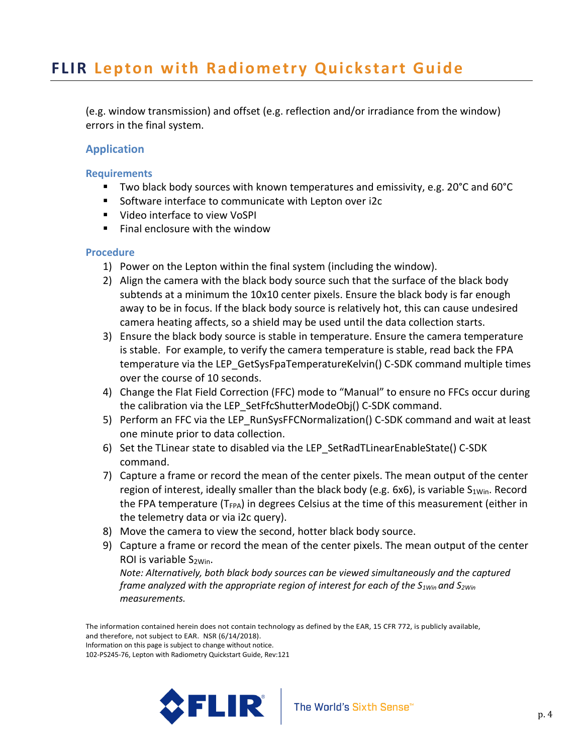(e.g. window transmission) and offset (e.g. reflection and/or irradiance from the window) errors in the final system.

### <span id="page-3-0"></span>**Application**

#### <span id="page-3-1"></span>**Requirements**

- Two black body sources with known temperatures and emissivity, e.g. 20°C and 60°C
- Software interface to communicate with Lepton over i2c
- Video interface to view VoSPI
- $\blacksquare$  Final enclosure with the window

#### <span id="page-3-2"></span>**Procedure**

- 1) Power on the Lepton within the final system (including the window).
- 2) Align the camera with the black body source such that the surface of the black body subtends at a minimum the 10x10 center pixels. Ensure the black body is far enough away to be in focus. If the black body source is relatively hot, this can cause undesired camera heating affects, so a shield may be used until the data collection starts.
- 3) Ensure the black body source is stable in temperature. Ensure the camera temperature is stable. For example, to verify the camera temperature is stable, read back the FPA temperature via the LEP\_GetSysFpaTemperatureKelvin() C-SDK command multiple times over the course of 10 seconds.
- 4) Change the Flat Field Correction (FFC) mode to "Manual" to ensure no FFCs occur during the calibration via the LEP\_SetFfcShutterModeObj() C-SDK command.
- 5) Perform an FFC via the LEP RunSysFFCNormalization() C-SDK command and wait at least one minute prior to data collection.
- 6) Set the TLinear state to disabled via the LEP\_SetRadTLinearEnableState() C-SDK command.
- 7) Capture a frame or record the mean of the center pixels. The mean output of the center region of interest, ideally smaller than the black body (e.g. 6x6), is variable  $S_{1Win}$ . Record the FPA temperature  $(T_{FPA})$  in degrees Celsius at the time of this measurement (either in the telemetry data or via i2c query).
- 8) Move the camera to view the second, hotter black body source.
- 9) Capture a frame or record the mean of the center pixels. The mean output of the center ROI is variable  $S_{2Win}$ .

*Note: Alternatively, both black body sources can be viewed simultaneously and the captured frame analyzed with the appropriate region of interest for each of the S1Win and S2Win measurements.*

The information contained herein does not contain technology as defined by the EAR, 15 CFR 772, is publicly available, and therefore, not subject to EAR. NSR (6/14/2018).

Information on this page is subject to change without notice.

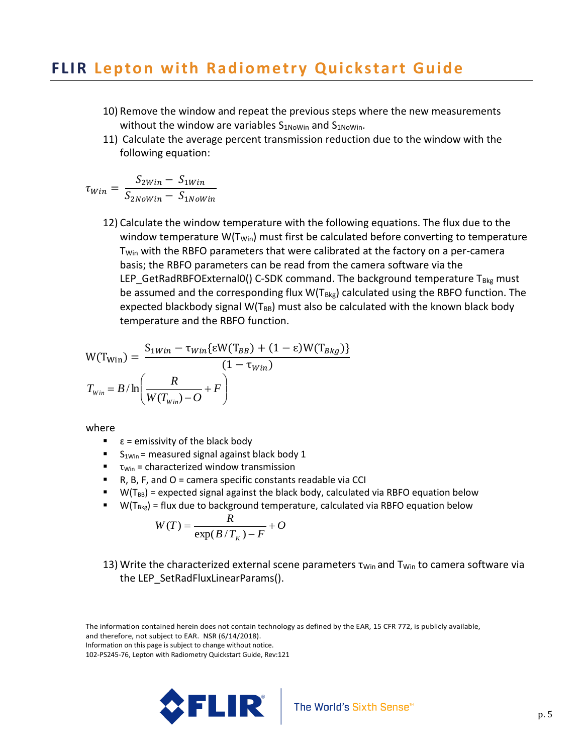- 10) Remove the window and repeat the previous steps where the new measurements without the window are variables  $S_{1N\text{oWin}}$  and  $S_{1N\text{oWin}}$ .
- 11) Calculate the average percent transmission reduction due to the window with the following equation:

$$
\tau_{Win} = \frac{S_{2Win} - S_{1Win}}{S_{2Nowin} - S_{1Nowin}}
$$

12) Calculate the window temperature with the following equations. The flux due to the window temperature W( $T_{\text{Win}}$ ) must first be calculated before converting to temperature T<sub>Win</sub> with the RBFO parameters that were calibrated at the factory on a per-camera basis; the RBFO parameters can be read from the camera software via the LEP\_GetRadRBFOExternal0() C-SDK command. The background temperature  $T_{Bkg}$  must be assumed and the corresponding flux  $W(T_{Bkg})$  calculated using the RBFO function. The expected blackbody signal  $W(T_{BB})$  must also be calculated with the known black body temperature and the RBFO function.

$$
W(T_{Win}) = \frac{S_{1Win} - \tau_{Win}\{\epsilon W(T_{BB}) + (1 - \epsilon)W(T_{Bkg})\}}{(1 - \tau_{Win})}
$$

$$
T_{Win} = B/\ln\left(\frac{R}{W(T_{Win}) - O} + F\right)
$$

where

- $\mathbf{r}$   $\varepsilon$  = emissivity of the black body
- $\blacksquare$  S<sub>1Win</sub> = measured signal against black body 1
- $\blacksquare$   $\tau_{\text{Win}}$  = characterized window transmission
- $\blacksquare$  R, B, F, and O = camera specific constants readable via CCI
- $\bullet$  W(T<sub>BB</sub>) = expected signal against the black body, calculated via RBFO equation below
- $\blacksquare$  W(T<sub>Bkg</sub>) = flux due to background temperature, calculated via RBFO equation below

$$
W(T) = \frac{R}{\exp(B/T_K) - F} + O
$$

13) Write the characterized external scene parameters  $\tau_{\text{Win}}$  and  $\tau_{\text{Win}}$  to camera software via the LEP SetRadFluxLinearParams().



The information contained herein does not contain technology as defined by the EAR, 15 CFR 772, is publicly available, and therefore, not subject to EAR. NSR (6/14/2018).

Information on this page is subject to change without notice.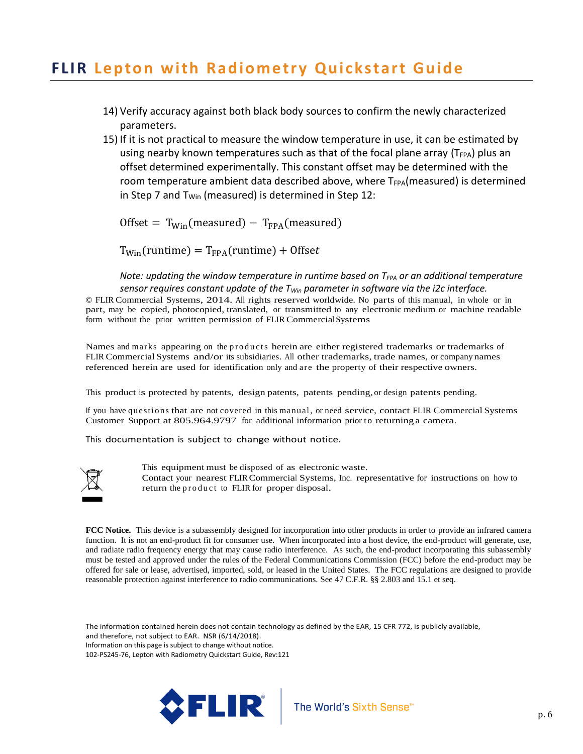- 14) Verify accuracy against both black body sources to confirm the newly characterized parameters.
- 15) If it is not practical to measure the window temperature in use, it can be estimated by using nearby known temperatures such as that of the focal plane array ( $T_{FPA}$ ) plus an offset determined experimentally. This constant offset may be determined with the room temperature ambient data described above, where  $T_{FPA}$ (measured) is determined in Step 7 and  $T_{\text{Win}}$  (measured) is determined in Step 12:

Offset =  $T_{Win}$ (measured) –  $T_{FPA}$ (measured)

 $T_{Win}$ (runtime) =  $T_{FPA}$ (runtime) + Offset

*Note: updating the window temperature in runtime based on T<sub>FPA</sub> or an additional temperature sensor requires constant update of the TWin parameter in software via the i2c interface.*

© FLIR Commercial Systems, 2014. All rights reserved worldwide. No parts of this manual, in whole or in part, may be copied, photocopied, translated, or transmitted to any electronic medium or machine readable form without the prior written permission of FLIR Commercial Systems

Names and marks appearing on the products herein are either registered trademarks or trademarks of FLIR Commercial Systems and/or its subsidiaries. All other trademarks, trade names, or company names referenced herein are used for identification only and are the property of their respective owners.

This product is protected by patents, design patents, patents pending, or design patents pending.

If you have questions that are not covered in this manual, or need service, contact FLIR Commercial Systems Customer Support at 805.964.9797 for additional information prior to returning a camera.

This documentation is subject to change without notice.



This equipment must be disposed of as electronic waste. Contact your nearest FLIRCommercial Systems, Inc. representative for instructions on how to return the product to FLIR for proper disposal.

**FCC Notice.** This device is a subassembly designed for incorporation into other products in order to provide an infrared camera function. It is not an end-product fit for consumer use. When incorporated into a host device, the end-product will generate, use, and radiate radio frequency energy that may cause radio interference. As such, the end-product incorporating this subassembly must be tested and approved under the rules of the Federal Communications Commission (FCC) before the end-product may be offered for sale or lease, advertised, imported, sold, or leased in the United States. The FCC regulations are designed to provide reasonable protection against interference to radio communications. See 47 C.F.R. §§ 2.803 and 15.1 et seq.

The information contained herein does not contain technology as defined by the EAR, 15 CFR 772, is publicly available, and therefore, not subject to EAR. NSR (6/14/2018). Information on this page is subject to change without notice. 102-PS245-76, Lepton with Radiometry Quickstart Guide, Rev:121